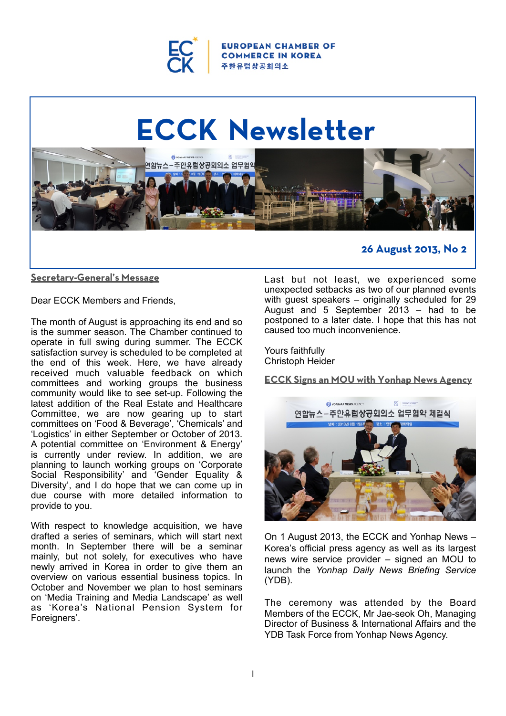

**ROPEAN CHAMBER OF COMMERCE IN KOREA** 주한유럽상공회의소

# **ECCK Newsletter** .<br>연합뉴스-주한유럽상공회의소 업무협의 **26 August 2013, No 2**

# **Secretary-General's Message**

Dear ECCK Members and Friends,

The month of August is approaching its end and so is the summer season. The Chamber continued to operate in full swing during summer. The ECCK satisfaction survey is scheduled to be completed at the end of this week. Here, we have already received much valuable feedback on which committees and working groups the business community would like to see set-up. Following the latest addition of the Real Estate and Healthcare Committee, we are now gearing up to start committees on 'Food & Beverage', 'Chemicals' and 'Logistics' in either September or October of 2013. A potential committee on 'Environment & Energy' is currently under review. In addition, we are planning to launch working groups on 'Corporate Social Responsibility' and 'Gender Equality & Diversity', and I do hope that we can come up in due course with more detailed information to provide to you.

With respect to knowledge acquisition, we have drafted a series of seminars, which will start next month. In September there will be a seminar mainly, but not solely, for executives who have newly arrived in Korea in order to give them an overview on various essential business topics. In October and November we plan to host seminars on 'Media Training and Media Landscape' as well as 'Korea's National Pension System for Foreigners'.

Last but not least, we experienced some unexpected setbacks as two of our planned events with guest speakers – originally scheduled for 29 August and  $5$  September  $2013$  – had to be postponed to a later date. I hope that this has not caused too much inconvenience.

Yours faithfully Christoph Heider

**ECCK Signs an MOU with Yonhap News Agency**



On 1 August 2013, the ECCK and Yonhap News – Korea's official press agency as well as its largest news wire service provider – signed an MOU to launch the *Yonhap Daily News Briefing Service* (YDB).

The ceremony was attended by the Board Members of the ECCK, Mr Jae-seok Oh, Managing Director of Business & International Affairs and the YDB Task Force from Yonhap News Agency.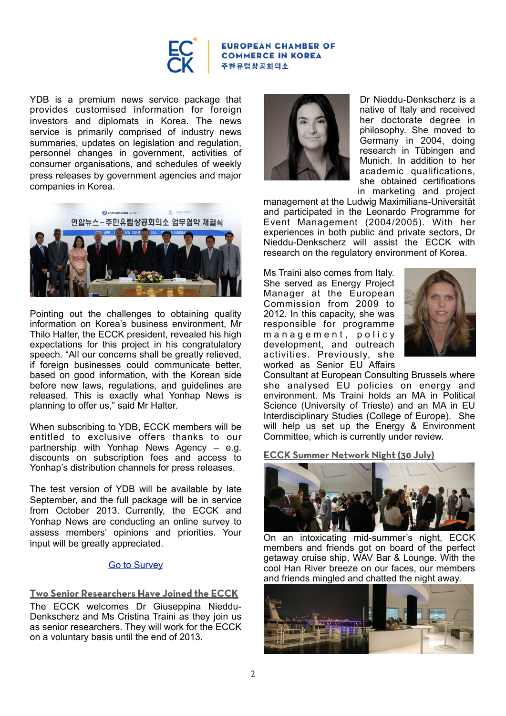

YDB is a premium news service package that provides customised information for foreign investors and diplomats in Korea. The news service is primarily comprised of industry news summaries, updates on legislation and regulation. personnel changes in government, activities of consumer organisations, and schedules of weekly press releases by government agencies and major companies in Korea.



Pointing out the challenges to obtaining quality information on Korea's business environment, Mr Thilo Halter, the ECCK president, revealed his high expectations for this project in his congratulatory speech. "All our concerns shall be greatly relieved, if foreign businesses could communicate better, based on good information, with the Korean side before new laws, regulations, and guidelines are released. This is exactly what Yonhap News is planning to offer us," said Mr Halter.

When subscribing to YDB, ECCK members will be entitled to exclusive offers thanks to our partnership with Yonhap News Agency – e.g. discounts on subscription fees and access to Yonhap's distribution channels for press releases.

The test version of YDB will be available by late September, and the full package will be in service from October 2013. Currently, the ECCK and Yonhap News are conducting an online survey to assess members' opinions and priorities. Your input will be greatly appreciated.

# [Go to Survey](https://docs.google.com/forms/d/1DTnDo9ZhZnn3dQ7pw7_s_VEiiJU1Sg1RnBZDbhsjoiQ/viewform)

# **Two Senior Researchers Have Joined the ECCK**

The ECCK welcomes Dr Giuseppina Nieddu-Denkscherz and Ms Cristina Traini as they join us as senior researchers. They will work for the ECCK on a voluntary basis until the end of 2013.



Dr Nieddu-Denkscherz is a native of Italy and received her doctorate degree in philosophy. She moved to Germany in 2004, doing research in Tübingen and Munich. In addition to her academic qualifications, she obtained certifications in marketing and project

management at the Ludwig Maximilians-Universität and participated in the Leonardo Programme for Event Management (2004/2005). With her experiences in both public and private sectors, Dr Nieddu-Denkscherz will assist the ECCK with research on the regulatory environment of Korea.

Ms Traini also comes from Italy. She served as Energy Project Manager at the European Commission from 2009 to 2012. In this capacity, she was responsible for programme m a n a g e m e n t, p o l i c y development, and outreach activities. Previously, she worked as Senior EU Affairs



Consultant at European Consulting Brussels where she analysed EU policies on energy and environment. Ms Traini holds an MA in Political Science (University of Trieste) and an MA in EU Interdisciplinary Studies (College of Europe). She will help us set up the Energy & Environment Committee, which is currently under review.

**ECCK Summer Network Night (30 July)**



On an intoxicating mid-summer's night, ECCK members and friends got on board of the perfect getaway cruise ship, WAV Bar & Lounge*.* With the cool Han River breeze on our faces, our members and friends mingled and chatted the night away.

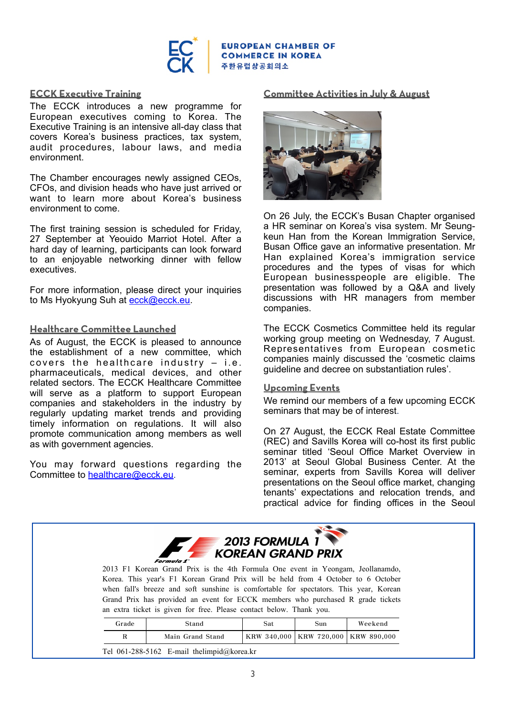

# **ECCK Executive Training**

The ECCK introduces a new programme for European executives coming to Korea. The Executive Training is an intensive all-day class that covers Korea's business practices, tax system, audit procedures, labour laws, and media environment.

The Chamber encourages newly assigned CEOs, CFOs, and division heads who have just arrived or want to learn more about Korea's business environment to come.

The first training session is scheduled for Friday, 27 September at Yeouido Marriot Hotel. After a hard day of learning, participants can look forward to an enjoyable networking dinner with fellow executives.

For more information, please direct your inquiries to Ms Hyokyung Suh at [ecck@ecck.eu.](mailto:ecck@ecck.eu)

# **Healthcare Committee Launched**

<u>Type to enter the second text of</u>

As of August, the ECCK is pleased to announce the establishment of a new committee, which covers the healthcare industry  $-$  i.e. pharmaceuticals, medical devices, and other related sectors. The ECCK Healthcare Committee will serve as a platform to support European companies and stakeholders in the industry by regularly updating market trends and providing timely information on regulations. It will also promote communication among members as well as with government agencies.

You may forward questions regarding the Committee to **[healthcare@ecck.eu](mailto:healthcare@ecck.eu).** 

# **Committee Activities in July & August**



On 26 July, the ECCK's Busan Chapter organised a HR seminar on Korea's visa system. Mr Seungkeun Han from the Korean Immigration Service, Busan Office gave an informative presentation. Mr Han explained Korea's immigration service procedures and the types of visas for which European businesspeople are eligible. The presentation was followed by a Q&A and lively discussions with HR managers from member companies.

The ECCK Cosmetics Committee held its regular working group meeting on Wednesday, 7 August. Representatives from European cosmetic companies mainly discussed the 'cosmetic claims guideline and decree on substantiation rules'.

#### **Upcoming Events**

We remind our members of a few upcoming ECCK seminars that may be of interest.

On 27 August, the ECCK Real Estate Committee (REC) and Savills Korea will co-host its first public seminar titled 'Seoul Office Market Overview in 2013' at Seoul Global Business Center. At the seminar, experts from Savills Korea will deliver presentations on the Seoul office market, changing tenants' expectations and relocation trends, and practical advice for finding offices in the Seoul



|                                                 | Grade | Stand            | Sat. | Sun                                     | Weekend |
|-------------------------------------------------|-------|------------------|------|-----------------------------------------|---------|
|                                                 |       | Main Grand Stand |      | KRW 340,000   KRW 720,000   KRW 890,000 |         |
| Tel 061-288-5162 E-mail the limpid $@$ korea.kr |       |                  |      |                                         |         |